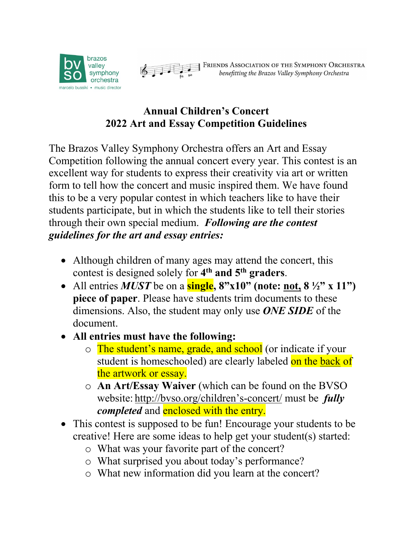



**EXECUTED FRIENDS ASSOCIATION OF THE SYMPHONY ORCHESTRA**<br>benefitting the Brazos Valley Symphony Orchestra

## **Annual Children's Concert 2022 Art and Essay Competition Guidelines**

The Brazos Valley Symphony Orchestra offers an Art and Essay Competition following the annual concert every year. This contest is an excellent way for students to express their creativity via art or written form to tell how the concert and music inspired them. We have found this to be a very popular contest in which teachers like to have their students participate, but in which the students like to tell their stories through their own special medium. *Following are the contest guidelines for the art and essay entries:*

- Although children of many ages may attend the concert, this contest is designed solely for **4th and 5th graders**.
- All entries **MUST** be on a **single**,  $8"x10"$  (note: <u>not</u>,  $8\frac{1}{2}"x$  x 11") **piece of paper**. Please have students trim documents to these dimensions. Also, the student may only use *ONE SIDE* of the document.
- **All entries must have the following:**
	- o The student's name, grade, and school (or indicate if your student is homeschooled) are clearly labeled on the back of the artwork or essay.
	- o **An Art/Essay Waiver** (which can be found on the BVSO website: http://bvso.org/children's-concert/ must be *fully completed* and **enclosed** with the entry.
- This contest is supposed to be fun! Encourage your students to be creative! Here are some ideas to help get your student(s) started:
	- o What was your favorite part of the concert?
	- o What surprised you about today's performance?
	- o What new information did you learn at the concert?